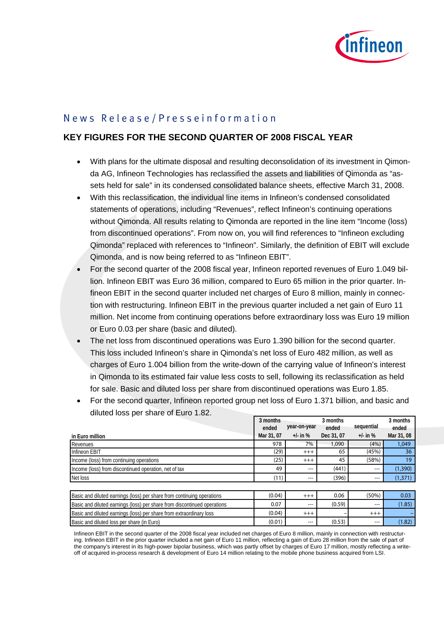

# News Release/Presseinformation

## **KEY FIGURES FOR THE SECOND QUARTER OF 2008 FISCAL YEAR**

- With plans for the ultimate disposal and resulting deconsolidation of its investment in Qimonda AG, Infineon Technologies has reclassified the assets and liabilities of Qimonda as "assets held for sale" in its condensed consolidated balance sheets, effective March 31, 2008.
- With this reclassification, the individual line items in Infineon's condensed consolidated statements of operations, including "Revenues", reflect Infineon's continuing operations without Qimonda. All results relating to Qimonda are reported in the line item "Income (loss) from discontinued operations". From now on, you will find references to "Infineon excluding Qimonda" replaced with references to "Infineon". Similarly, the definition of EBIT will exclude Qimonda, and is now being referred to as "Infineon EBIT".
- For the second quarter of the 2008 fiscal year, Infineon reported revenues of Euro 1.049 billion. Infineon EBIT was Euro 36 million, compared to Euro 65 million in the prior quarter. Infineon EBIT in the second quarter included net charges of Euro 8 million, mainly in connection with restructuring. Infineon EBIT in the previous quarter included a net gain of Euro 11 million. Net income from continuing operations before extraordinary loss was Euro 19 million or Euro 0.03 per share (basic and diluted).
- The net loss from discontinued operations was Euro 1.390 billion for the second quarter. This loss included Infineon's share in Qimonda's net loss of Euro 482 million, as well as charges of Euro 1.004 billion from the write-down of the carrying value of Infineon's interest in Qimonda to its estimated fair value less costs to sell, following its reclassification as held for sale. Basic and diluted loss per share from discontinued operations was Euro 1.85.
- For the second quarter, Infineon reported group net loss of Euro 1.371 billion, and basic and diluted loss per share of Euro 1.82.

|                                                                          | 3 months   |              | 3 months   |              | 3 months   |
|--------------------------------------------------------------------------|------------|--------------|------------|--------------|------------|
|                                                                          | ended      | year-on-year | ended      | sequential   | ended      |
| in Euro million                                                          | Mar 31, 07 | $+/-$ in %   | Dec 31, 07 | $+/-$ in $%$ | Mar 31, 08 |
| Revenues                                                                 | 978        | 7%           | 1,090      | (4% )        | 1.049      |
| Infineon EBIT                                                            | (29)       | $+++$        | 65         | (45%)        | 36         |
| Income (loss) from continuing operations                                 | (25)       | $+++$        | 45         | (58%)        | 19         |
| Income (loss) from discontinued operation, net of tax                    | 49         | $---$        | (441)      | $---$        | (1,390)    |
| Net loss                                                                 | (11)       | $---$        | (396)      | $---$        | (1, 371)   |
|                                                                          |            |              |            |              |            |
| Basic and diluted earnings (loss) per share from continuing operations   | (0.04)     | $+++$        | 0.06       | (50%)        | 0.03       |
| Basic and diluted earnings (loss) per share from discontinued operations | 0.07       | $---$        | (0.59)     | $---$        | (1.85)     |
| Basic and diluted earnings (loss) per share from extraordinary loss      | (0.04)     | $+++$        |            | $+++$        |            |
| Basic and diluted loss per share (in Euro)                               | (0.01)     | $---$        | (0.53)     | ---          | (1.82)     |

Infineon EBIT in the second quarter of the 2008 fiscal year included net charges of Euro 8 million, mainly in connection with restructuring. Infineon EBIT in the prior quarter included a net gain of Euro 11 million, reflecting a gain of Euro 28 million from the sale of part of the company's interest in its high-power bipolar business, which was partly offset by charges of Euro 17 million, mostly reflecting a writeoff of acquired in-process research & development of Euro 14 million relating to the mobile phone business acquired from LSI.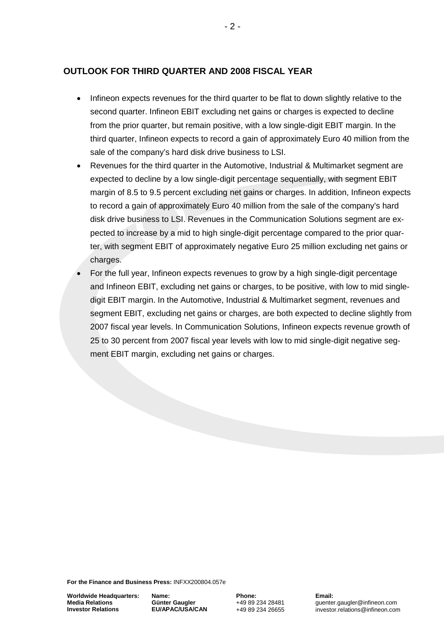## **OUTLOOK FOR THIRD QUARTER AND 2008 FISCAL YEAR**

- Infineon expects revenues for the third quarter to be flat to down slightly relative to the second quarter. Infineon EBIT excluding net gains or charges is expected to decline from the prior quarter, but remain positive, with a low single-digit EBIT margin. In the third quarter, Infineon expects to record a gain of approximately Euro 40 million from the sale of the company's hard disk drive business to LSI.
- Revenues for the third quarter in the Automotive, Industrial & Multimarket segment are expected to decline by a low single-digit percentage sequentially, with segment EBIT margin of 8.5 to 9.5 percent excluding net gains or charges. In addition, Infineon expects to record a gain of approximately Euro 40 million from the sale of the company's hard disk drive business to LSI. Revenues in the Communication Solutions segment are expected to increase by a mid to high single-digit percentage compared to the prior quarter, with segment EBIT of approximately negative Euro 25 million excluding net gains or charges.
- For the full year, Infineon expects revenues to grow by a high single-digit percentage and Infineon EBIT, excluding net gains or charges, to be positive, with low to mid singledigit EBIT margin. In the Automotive, Industrial & Multimarket segment, revenues and segment EBIT, excluding net gains or charges, are both expected to decline slightly from 2007 fiscal year levels. In Communication Solutions, Infineon expects revenue growth of 25 to 30 percent from 2007 fiscal year levels with low to mid single-digit negative segment EBIT margin, excluding net gains or charges.

**For the Finance and Business Press:** INFXX200804.057e

**Worldwide Headquarters: Media Relations Investor Relations**

**Name: Günter Gaugler EU/APAC/USA/CAN** **Phone:** +49 89 234 28481 +49 89 234 26655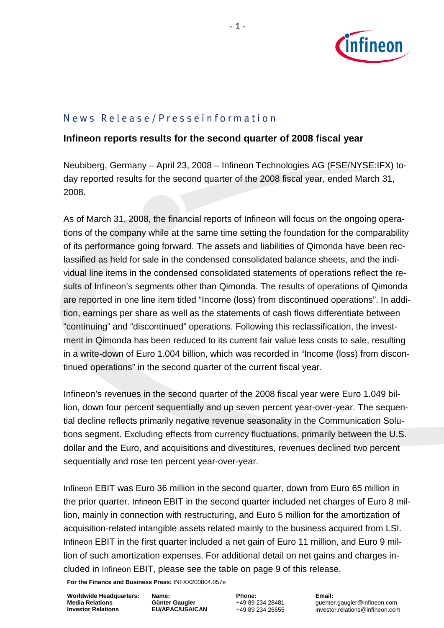

# News Release/Presseinformation

## **Infineon reports results for the second quarter of 2008 fiscal year**

Neubiberg, Germany – April 23, 2008 – Infineon Technologies AG (FSE/NYSE:IFX) today reported results for the second quarter of the 2008 fiscal year, ended March 31, 2008.

As of March 31, 2008, the financial reports of Infineon will focus on the ongoing operations of the company while at the same time setting the foundation for the comparability of its performance going forward. The assets and liabilities of Qimonda have been reclassified as held for sale in the condensed consolidated balance sheets, and the individual line items in the condensed consolidated statements of operations reflect the results of Infineon's segments other than Qimonda. The results of operations of Qimonda are reported in one line item titled "Income (loss) from discontinued operations". In addition, earnings per share as well as the statements of cash flows differentiate between "continuing" and "discontinued" operations. Following this reclassification, the investment in Qimonda has been reduced to its current fair value less costs to sale, resulting in a write-down of Euro 1.004 billion, which was recorded in "Income (loss) from discontinued operations" in the second quarter of the current fiscal year.

Infineon's revenues in the second quarter of the 2008 fiscal year were Euro 1.049 billion, down four percent sequentially and up seven percent year-over-year. The sequential decline reflects primarily negative revenue seasonality in the Communication Solutions segment. Excluding effects from currency fluctuations, primarily between the U.S. dollar and the Euro, and acquisitions and divestitures, revenues declined two percent sequentially and rose ten percent year-over-year.

Infineon EBIT was Euro 36 million in the second quarter, down from Euro 65 million in the prior quarter. Infineon EBIT in the second quarter included net charges of Euro 8 million, mainly in connection with restructuring, and Euro 5 million for the amortization of acquisition-related intangible assets related mainly to the business acquired from LSI. Infineon EBIT in the first quarter included a net gain of Euro 11 million, and Euro 9 million of such amortization expenses. For additional detail on net gains and charges included in Infineon EBIT, please see the table on page 9 of this release.

**For the Finance and Business Press:** INFXX200804.057e

**Worldwide Headquarters: Media Relations Investor Relations**

**Name: Günter Gaugler EU/APAC/USA/CAN** **Phone:** +49 89 234 28481 +49 89 234 26655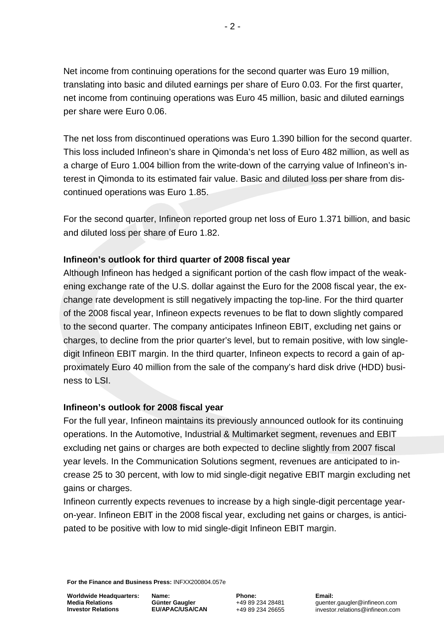Net income from continuing operations for the second quarter was Euro 19 million, translating into basic and diluted earnings per share of Euro 0.03. For the first quarter, net income from continuing operations was Euro 45 million, basic and diluted earnings per share were Euro 0.06.

The net loss from discontinued operations was Euro 1.390 billion for the second quarter. This loss included Infineon's share in Qimonda's net loss of Euro 482 million, as well as a charge of Euro 1.004 billion from the write-down of the carrying value of Infineon's interest in Qimonda to its estimated fair value. Basic and diluted loss per share from discontinued operations was Euro 1.85.

For the second quarter, Infineon reported group net loss of Euro 1.371 billion, and basic and diluted loss per share of Euro 1.82.

## **Infineon's outlook for third quarter of 2008 fiscal year**

Although Infineon has hedged a significant portion of the cash flow impact of the weakening exchange rate of the U.S. dollar against the Euro for the 2008 fiscal year, the exchange rate development is still negatively impacting the top-line. For the third quarter of the 2008 fiscal year, Infineon expects revenues to be flat to down slightly compared to the second quarter. The company anticipates Infineon EBIT, excluding net gains or charges, to decline from the prior quarter's level, but to remain positive, with low singledigit Infineon EBIT margin. In the third quarter, Infineon expects to record a gain of approximately Euro 40 million from the sale of the company's hard disk drive (HDD) business to LSI.

## **Infineon's outlook for 2008 fiscal year**

For the full year, Infineon maintains its previously announced outlook for its continuing operations. In the Automotive, Industrial & Multimarket segment, revenues and EBIT excluding net gains or charges are both expected to decline slightly from 2007 fiscal year levels. In the Communication Solutions segment, revenues are anticipated to increase 25 to 30 percent, with low to mid single-digit negative EBIT margin excluding net gains or charges.

Infineon currently expects revenues to increase by a high single-digit percentage yearon-year. Infineon EBIT in the 2008 fiscal year, excluding net gains or charges, is anticipated to be positive with low to mid single-digit Infineon EBIT margin.

**For the Finance and Business Press:** INFXX200804.057e

**Worldwide Headquarters: Media Relations Investor Relations**

**Name: Günter Gaugler EU/APAC/USA/CAN** **Phone:** +49 89 234 28481 +49 89 234 26655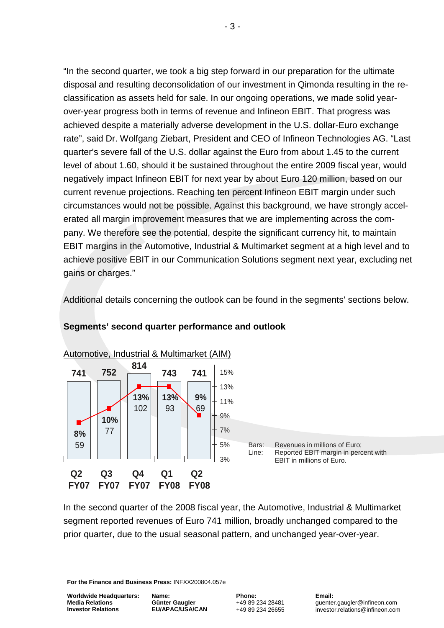"In the second quarter, we took a big step forward in our preparation for the ultimate disposal and resulting deconsolidation of our investment in Qimonda resulting in the reclassification as assets held for sale. In our ongoing operations, we made solid yearover-year progress both in terms of revenue and Infineon EBIT. That progress was achieved despite a materially adverse development in the U.S. dollar-Euro exchange rate", said Dr. Wolfgang Ziebart, President and CEO of Infineon Technologies AG. "Last quarter's severe fall of the U.S. dollar against the Euro from about 1.45 to the current level of about 1.60, should it be sustained throughout the entire 2009 fiscal year, would negatively impact Infineon EBIT for next year by about Euro 120 million, based on our current revenue projections. Reaching ten percent Infineon EBIT margin under such circumstances would not be possible. Against this background, we have strongly accelerated all margin improvement measures that we are implementing across the company. We therefore see the potential, despite the significant currency hit, to maintain EBIT margins in the Automotive, Industrial & Multimarket segment at a high level and to achieve positive EBIT in our Communication Solutions segment next year, excluding net gains or charges."

Additional details concerning the outlook can be found in the segments' sections below.



#### **Segments' second quarter performance and outlook**

In the second quarter of the 2008 fiscal year, the Automotive, Industrial & Multimarket segment reported revenues of Euro 741 million, broadly unchanged compared to the prior quarter, due to the usual seasonal pattern, and unchanged year-over-year.

**For the Finance and Business Press:** INFXX200804.057e

**Worldwide Headquarters: Media Relations Investor Relations**

**Name: Günter Gaugler EU/APAC/USA/CAN** **Phone:** +49 89 234 28481 +49 89 234 26655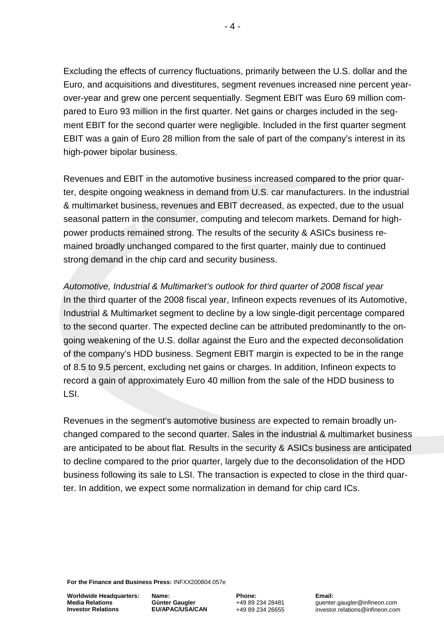Excluding the effects of currency fluctuations, primarily between the U.S. dollar and the Euro, and acquisitions and divestitures, segment revenues increased nine percent yearover-year and grew one percent sequentially. Segment EBIT was Euro 69 million compared to Euro 93 million in the first quarter. Net gains or charges included in the segment EBIT for the second quarter were negligible. Included in the first quarter segment EBIT was a gain of Euro 28 million from the sale of part of the company's interest in its high-power bipolar business.

Revenues and EBIT in the automotive business increased compared to the prior quarter, despite ongoing weakness in demand from U.S. car manufacturers. In the industrial & multimarket business, revenues and EBIT decreased, as expected, due to the usual seasonal pattern in the consumer, computing and telecom markets. Demand for highpower products remained strong. The results of the security & ASICs business remained broadly unchanged compared to the first quarter, mainly due to continued strong demand in the chip card and security business.

*Automotive, Industrial & Multimarket's outlook for third quarter of 2008 fiscal year* In the third quarter of the 2008 fiscal year, Infineon expects revenues of its Automotive, Industrial & Multimarket segment to decline by a low single-digit percentage compared to the second quarter. The expected decline can be attributed predominantly to the ongoing weakening of the U.S. dollar against the Euro and the expected deconsolidation of the company's HDD business. Segment EBIT margin is expected to be in the range of 8.5 to 9.5 percent, excluding net gains or charges. In addition, Infineon expects to record a gain of approximately Euro 40 million from the sale of the HDD business to LSI.

Revenues in the segment's automotive business are expected to remain broadly unchanged compared to the second quarter. Sales in the industrial & multimarket business are anticipated to be about flat. Results in the security & ASICs business are anticipated to decline compared to the prior quarter, largely due to the deconsolidation of the HDD business following its sale to LSI. The transaction is expected to close in the third quarter. In addition, we expect some normalization in demand for chip card ICs.

**For the Finance and Business Press:** INFXX200804.057e

**Worldwide Headquarters: Media Relations Investor Relations**

**Name: Günter Gaugler EU/APAC/USA/CAN** **Phone:** +49 89 234 28481 +49 89 234 26655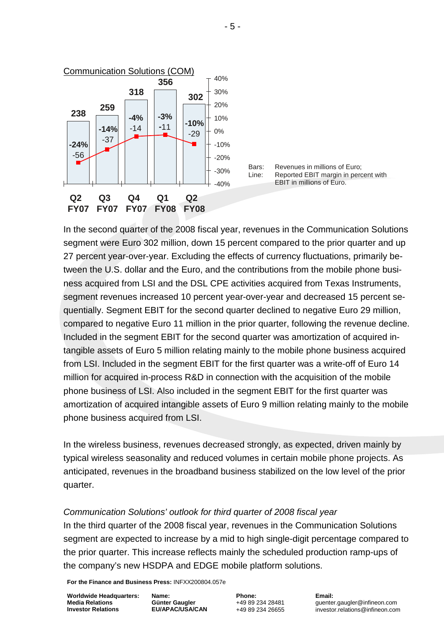

In the second quarter of the 2008 fiscal year, revenues in the Communication Solutions segment were Euro 302 million, down 15 percent compared to the prior quarter and up 27 percent year-over-year. Excluding the effects of currency fluctuations, primarily between the U.S. dollar and the Euro, and the contributions from the mobile phone business acquired from LSI and the DSL CPE activities acquired from Texas Instruments, segment revenues increased 10 percent year-over-year and decreased 15 percent sequentially. Segment EBIT for the second quarter declined to negative Euro 29 million, compared to negative Euro 11 million in the prior quarter, following the revenue decline. Included in the segment EBIT for the second quarter was amortization of acquired intangible assets of Euro 5 million relating mainly to the mobile phone business acquired from LSI. Included in the segment EBIT for the first quarter was a write-off of Euro 14 million for acquired in-process R&D in connection with the acquisition of the mobile phone business of LSI. Also included in the segment EBIT for the first quarter was amortization of acquired intangible assets of Euro 9 million relating mainly to the mobile phone business acquired from LSI.

In the wireless business, revenues decreased strongly, as expected, driven mainly by typical wireless seasonality and reduced volumes in certain mobile phone projects. As anticipated, revenues in the broadband business stabilized on the low level of the prior quarter.

#### *Communication Solutions' outlook for third quarter of 2008 fiscal year*

In the third quarter of the 2008 fiscal year, revenues in the Communication Solutions segment are expected to increase by a mid to high single-digit percentage compared to the prior quarter. This increase reflects mainly the scheduled production ramp-ups of the company's new HSDPA and EDGE mobile platform solutions.

**For the Finance and Business Press:** INFXX200804.057e

**Worldwide Headquarters: Media Relations Investor Relations**

**Name: Günter Gaugler EU/APAC/USA/CAN** **Phone:** +49 89 234 28481 +49 89 234 26655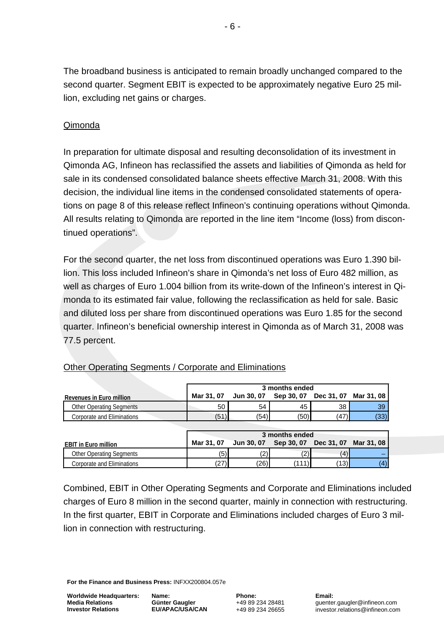The broadband business is anticipated to remain broadly unchanged compared to the second quarter. Segment EBIT is expected to be approximately negative Euro 25 million, excluding net gains or charges.

## Qimonda

In preparation for ultimate disposal and resulting deconsolidation of its investment in Qimonda AG, Infineon has reclassified the assets and liabilities of Qimonda as held for sale in its condensed consolidated balance sheets effective March 31, 2008. With this decision, the individual line items in the condensed consolidated statements of operations on page 8 of this release reflect Infineon's continuing operations without Qimonda. All results relating to Qimonda are reported in the line item "Income (loss) from discontinued operations".

For the second quarter, the net loss from discontinued operations was Euro 1.390 billion. This loss included Infineon's share in Qimonda's net loss of Euro 482 million, as well as charges of Euro 1.004 billion from its write-down of the Infineon's interest in Qimonda to its estimated fair value, following the reclassification as held for sale. Basic and diluted loss per share from discontinued operations was Euro 1.85 for the second quarter. Infineon's beneficial ownership interest in Qimonda as of March 31, 2008 was 77.5 percent.

|                                 |            | 3 months ended    |            |            |            |  |  |  |  |
|---------------------------------|------------|-------------------|------------|------------|------------|--|--|--|--|
| Revenues in Euro million        | Mar 31, 07 | Jun 30, 07        | Sep 30, 07 | Dec 31, 07 | Mar 31, 08 |  |  |  |  |
| <b>Other Operating Segments</b> | 50         | 54                | 45         | 38         | 39         |  |  |  |  |
| Corporate and Eliminations      | (51)       | (54)              | (50)       | (47)       | (33)       |  |  |  |  |
|                                 |            |                   |            |            |            |  |  |  |  |
|                                 |            | 3 months ended    |            |            |            |  |  |  |  |
| <b>EBIT in Euro million</b>     | Mar 31, 07 | <b>Jun 30, 07</b> | Sep 30, 07 | Dec 31, 07 | Mar 31, 08 |  |  |  |  |
|                                 |            |                   |            |            |            |  |  |  |  |
| <b>Other Operating Segments</b> | (5)        | '2)               | (2)        | (4)        |            |  |  |  |  |

## Other Operating Segments / Corporate and Eliminations

Combined, EBIT in Other Operating Segments and Corporate and Eliminations included charges of Euro 8 million in the second quarter, mainly in connection with restructuring. In the first quarter, EBIT in Corporate and Eliminations included charges of Euro 3 million in connection with restructuring.

**For the Finance and Business Press:** INFXX200804.057e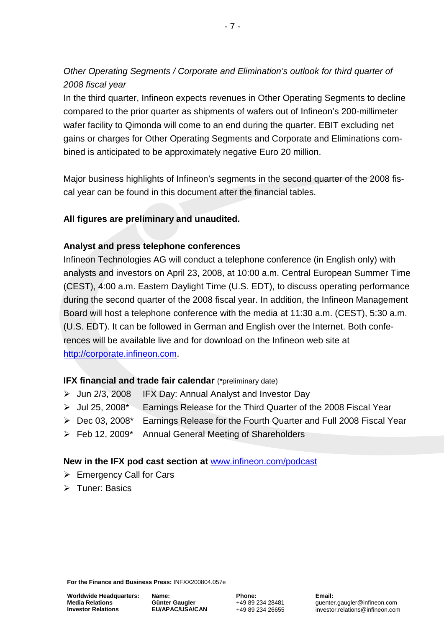*Other Operating Segments / Corporate and Elimination's outlook for third quarter of 2008 fiscal year*

In the third quarter, Infineon expects revenues in Other Operating Segments to decline compared to the prior quarter as shipments of wafers out of Infineon's 200-millimeter wafer facility to Qimonda will come to an end during the quarter. EBIT excluding net gains or charges for Other Operating Segments and Corporate and Eliminations combined is anticipated to be approximately negative Euro 20 million.

Major business highlights of Infineon's segments in the second quarter of the 2008 fiscal year can be found in this document after the financial tables.

## **All figures are preliminary and unaudited.**

## **Analyst and press telephone conferences**

Infineon Technologies AG will conduct a telephone conference (in English only) with analysts and investors on April 23, 2008, at 10:00 a.m. Central European Summer Time (CEST), 4:00 a.m. Eastern Daylight Time (U.S. EDT), to discuss operating performance during the second quarter of the 2008 fiscal year. In addition, the Infineon Management Board will host a telephone conference with the media at 11:30 a.m. (CEST), 5:30 a.m. (U.S. EDT). It can be followed in German and English over the Internet. Both conferences will be available live and for download on the Infineon web site at [http://corporate.infineon.com.](http://corporate.infineon.com/)

#### **IFX financial and trade fair calendar** (\*preliminary date)

- $\triangleright$  Jun 2/3, 2008 IFX Day: Annual Analyst and Investor Day
- Jul 25, 2008\* Earnings Release for the Third Quarter of the 2008 Fiscal Year
- ▶ Dec 03, 2008\* Earnings Release for the Fourth Quarter and Full 2008 Fiscal Year
- Feb 12, 2009\* Annual General Meeting of Shareholders

#### **New in the IFX pod cast section at** [www.infineon.com/podcast](http://www.infineon.com/podcast)

- $\triangleright$  Emergency Call for Cars
- **E** Tuner: Basics

**For the Finance and Business Press:** INFXX200804.057e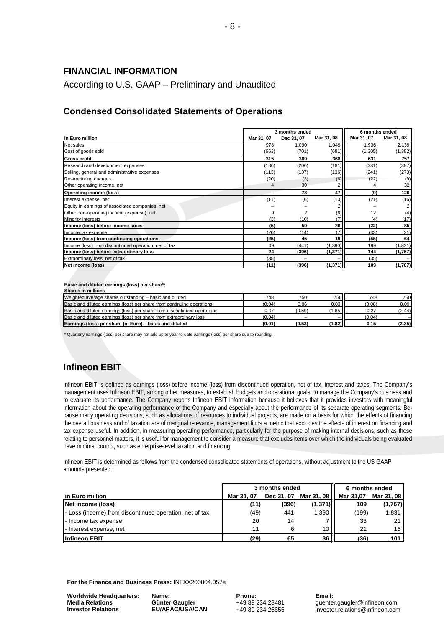#### **FINANCIAL INFORMATION**

According to U.S. GAAP – Preliminary and Unaudited

## **Condensed Consolidated Statements of Operations**

|                                                       |            | 3 months ended | 6 months ended |            |            |
|-------------------------------------------------------|------------|----------------|----------------|------------|------------|
| in Euro million                                       | Mar 31, 07 | Dec 31, 07     | Mar 31, 08     | Mar 31, 07 | Mar 31, 08 |
| Net sales                                             | 978        | 1,090          | 1,049          | 1,936      | 2,139      |
| Cost of goods sold                                    | (663)      | (701)          | (681)          | (1,305)    | (1, 382)   |
| <b>Gross profit</b>                                   | 315        | 389            | 368            | 631        | 757        |
| Research and development expenses                     | (186)      | (206)          | (181)          | (381)      | (387)      |
| Selling, general and administrative expenses          | (113)      | (137)          | (136)          | (241)      | (273)      |
| Restructuring charges                                 | (20)       | (3)            | (6)            | (22)       | (9)        |
| Other operating income, net                           | 4          | 30             | 2              |            | 32         |
| <b>Operating income (loss)</b>                        |            | 73             | 47             | (9)        | 120        |
| Interest expense, net                                 | (11)       | (6)            | (10)           | (21)       | (16)       |
| Equity in earnings of associated companies, net       |            |                |                |            |            |
| Other non-operating income (expense), net             | 9          | 2              | (6)            | 12         | (4)        |
| Minority interests                                    | (3)        | (10)           | (7)            | (4)        | (17)       |
| Income (loss) before income taxes                     | (5)        | 59             | 26             | (22)       | 85         |
| Income tax expense                                    | (20)       | (14)           | (7)            | (33)       | (21)       |
| Income (loss) from continuing operations              | (25)       | 45             | 19             | (55)       | 64         |
| Income (loss) from discontinued operation, net of tax | 49         | (441)          | (1, 390)       | 199        | (1, 831)   |
| Income (loss) before extraordinary loss               | 24         | (396)          | (1, 371)       | 144        | (1,767)    |
| Extraordinary loss, net of tax                        | (35)       |                |                | (35)       |            |
| Net income (loss)                                     | (11)       | (396)          | (1, 371)       | 109        | (1,767)    |

**Basic and diluted earnings (loss) per share\*:**

| <b>Shares in millions</b>                                                |        |        |        |        |        |
|--------------------------------------------------------------------------|--------|--------|--------|--------|--------|
| Weighted average shares outstanding - basic and diluted                  | 748    | 750    | 750    | 748    | 750    |
| Basic and diluted earnings (loss) per share from continuing operations   | (0.04) | 0.06   | 0.03   | (0.08) | 0.09   |
| Basic and diluted earnings (loss) per share from discontinued operations | 0.07   | (0.59) | 1.85)  | 0.27   | (2.44) |
| Basic and diluted earnings (loss) per share from extraordinary loss      | (0.04) |        |        | (0.04) |        |
| Earnings (loss) per share (in Euro) - basic and diluted                  | (0.01) | (0.53) | (1.82) | 0.15   | (2.35) |

\* Quarterly earnings (loss) per share may not add up to year-to-date earnings (loss) per share due to rounding.

## **Infineon EBIT**

Infineon EBIT is defined as earnings (loss) before income (loss) from discontinued operation, net of tax, interest and taxes. The Company's management uses Infineon EBIT, among other measures, to establish budgets and operational goals, to manage the Company's business and to evaluate its performance. The Company reports Infineon EBIT information because it believes that it provides investors with meaningful information about the operating performance of the Company and especially about the performance of its separate operating segments. Because many operating decisions, such as allocations of resources to individual projects, are made on a basis for which the effects of financing the overall business and of taxation are of marginal relevance, management finds a metric that excludes the effects of interest on financing and tax expense useful. In addition, in measuring operating performance, particularly for the purpose of making internal decisions, such as those relating to personnel matters, it is useful for management to consider a measure that excludes items over which the individuals being evaluated have minimal control, such as enterprise-level taxation and financing.

Infineon EBIT is determined as follows from the condensed consolidated statements of operations, without adjustment to the US GAAP amounts presented:

|                                                         |            | 3 months ended | 6 months ended  |           |            |
|---------------------------------------------------------|------------|----------------|-----------------|-----------|------------|
| in Euro million                                         | Mar 31, 07 | Dec 31, 07     | Mar 31, 08      | Mar 31.07 | Mar 31, 08 |
| Net income (loss)                                       | (11)       | (396)          | (1, 371)        | 109       | (1,767)    |
| - Loss (income) from discontinued operation, net of tax | (49)       | 441            | $1.390$         | (199)     | 1,831      |
| - Income tax expense                                    | 20         | 14             |                 | 33        | 21         |
| - Interest expense, net                                 | 11         | 6              | 10 <sub>1</sub> | 21        | 16         |
| <b>Infineon EBIT</b>                                    | (29)       | 65             | 36              | (36)      | 101        |

**For the Finance and Business Press:** INFXX200804.057e

**Worldwide Headquarters: Media Relations Investor Relations**

**Name: Günter Gaugler EU/APAC/USA/CAN** **Phone:** +49 89 234 28481 +49 89 234 26655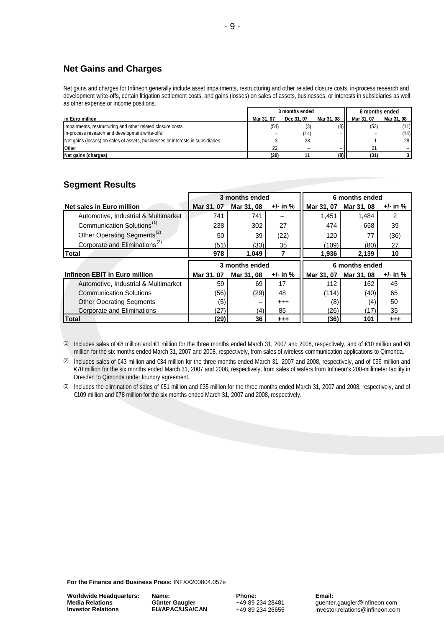## **Net Gains and Charges**

Net gains and charges for Infineon generally include asset impairments, restructuring and other related closure costs, in-process research and development write-offs, certain litigation settlement costs, and gains (losses) on sales of assets, businesses, or interests in subsidiaries as well as other expense or income positions.

|                                                                                | 3 months ended |            |            | 6 months ended |                 |
|--------------------------------------------------------------------------------|----------------|------------|------------|----------------|-----------------|
| in Euro million                                                                | Mar 31, 07     | Dec 31, 07 | Mar 31, 08 | Mar 31, 07     | Mar 31, 08      |
| Impairments, restructuring and other related closure costs                     | (54)           | (3)        | (8)        | (53)           | (11)            |
| In-process research and development write-offs                                 |                | (14)       |            |                | (14)            |
| Net gains (losses) on sales of assets, businesses or interests in subsidiaries |                | 28         |            |                | 28 <sup>1</sup> |
| Other                                                                          | 22             |            |            |                |                 |
| Net gains (charges)                                                            | (29)           |            | (8)        | (31)           |                 |

#### **Segment Results**

|                                           | 3 months ended |                |            | 6 months ended |                |              |  |
|-------------------------------------------|----------------|----------------|------------|----------------|----------------|--------------|--|
| Net sales in Euro million                 | Mar 31, 07     | Mar 31, 08     | $+/-$ in % | Mar 31, 07     | Mar 31, 08     | $+/-$ in $%$ |  |
| Automotive, Industrial & Multimarket      | 741            | 741            |            | 1.451          | 1.484          | 2            |  |
| Communication Solutions <sup>(1)</sup>    | 238            | 302            | 27         | 474            | 658            | 39           |  |
| Other Operating Segments <sup>(2)</sup>   | 50             | 39             | (22)       | 120            | 77             | (36)         |  |
| Corporate and Eliminations <sup>(3)</sup> | (51)           | (33)           | 35         | (109)          | (80)           | 27           |  |
| <b>Total</b>                              | 978            | 1,049          |            | 1,936          | 2,139          | 10           |  |
|                                           |                |                |            |                |                |              |  |
|                                           |                | 3 months ended |            |                | 6 months ended |              |  |
| Infineon EBIT in Euro million             | Mar 31, 07     | Mar 31, 08     | $+/-$ in % | Mar 31, 07     | Mar 31, 08     | $+/-$ in $%$ |  |
| Automotive, Industrial & Multimarket      | 59             | 69             | 17         | 112            | 162            | 45           |  |
| <b>Communication Solutions</b>            | (56)           | (29)           | 48         | (114)          | (40)           | 65           |  |
| <b>Other Operating Segments</b>           | (5)            |                | $^{++}$    | (8)            | (4)            | 50           |  |
| Corporate and Eliminations                | (27)           | (4)            | 85         | (26)           | (17)           | 35           |  |

(1) Includes sales of €8 million and €1 million for the three months ended March 31, 2007 and 2008, respectively, and of €10 million and €8 million for the six months ended March 31, 2007 and 2008, respectively, from sales of wireless communication applications to Qimonda.

(2) Includes sales of €43 million and €34 million for the three months ended March 31, 2007 and 2008, respectively, and of €99 million and €70 million for the six months ended March 31, 2007 and 2008, respectively, from sales of wafers from Infineon's 200-millimeter facility in Dresden to Qimonda under foundry agreement.

(3) Includes the elimination of sales of €51 million and €35 million for the three months ended March 31, 2007 and 2008, respectively, and of €109 million and €78 million for the six months ended March 31, 2007 and 2008, respectively.

**For the Finance and Business Press:** INFXX200804.057e

**Worldwide Headquarters: Media Relations Investor Relations**

**Name: Günter Gaugler EU/APAC/USA/CAN** **Phone:** +49 89 234 28481 +49 89 234 26655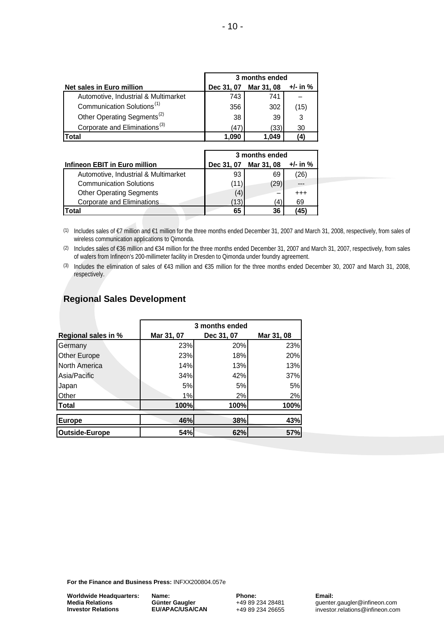|                                           | 3 months ended |            |            |  |  |
|-------------------------------------------|----------------|------------|------------|--|--|
| Net sales in Euro million                 | Dec 31, 07     | Mar 31, 08 | $+/-$ in % |  |  |
| Automotive, Industrial & Multimarket      | 743            | 741        |            |  |  |
| Communication Solutions <sup>(1)</sup>    | 356            | 302        | (15)       |  |  |
| Other Operating Segments <sup>(2)</sup>   | 38             | 39         | 3          |  |  |
| Corporate and Eliminations <sup>(3)</sup> | (47)           | (33)       | 30         |  |  |
| ˈotal                                     | .090           | 1.049      | (4)        |  |  |

|                                      | 3 months ended |            |          |  |  |
|--------------------------------------|----------------|------------|----------|--|--|
| Infineon EBIT in Euro million        | Dec 31, 07     | Mar 31, 08 | +/- in % |  |  |
| Automotive, Industrial & Multimarket | 93             | 69         | (26)     |  |  |
| <b>Communication Solutions</b>       | (11)           | (29        |          |  |  |
| <b>Other Operating Segments</b>      | (4)            | -          | $^{+++}$ |  |  |
| Corporate and Eliminations           | (13)           |            | 69       |  |  |
| Total                                | 65             | 36         | 45'      |  |  |

(1) Includes sales of €7 million and €1 million for the three months ended December 31, 2007 and March 31, 2008, respectively, from sales of wireless communication applications to Qimonda.

(2) Includes sales of €36 million and €34 million for the three months ended December 31, 2007 and March 31, 2007, respectively, from sales of wafers from Infineon's 200-millimeter facility in Dresden to Qimonda under foundry agreement.

(3) Includes the elimination of sales of €43 million and €35 million for the three months ended December 30, 2007 and March 31, 2008, respectively.

## **Regional Sales Development**

|                       | 3 months ended |            |            |  |  |  |  |
|-----------------------|----------------|------------|------------|--|--|--|--|
| Regional sales in %   | Mar 31, 07     | Dec 31, 07 | Mar 31, 08 |  |  |  |  |
| Germany               | 23%            | 20%        | 23%        |  |  |  |  |
| Other Europe          | 23%            | 18%        | 20%        |  |  |  |  |
| North America         | 14%            | 13%        | 13%        |  |  |  |  |
| Asia/Pacific          | 34%            | 42%        | 37%        |  |  |  |  |
| Japan                 | 5%             | 5%         | 5%         |  |  |  |  |
| Other                 | 1%             | 2%         | 2%         |  |  |  |  |
| <b>Total</b>          | 100%           | 100%       | 100%       |  |  |  |  |
| <b>Europe</b>         | 46%            | 38%        | 43%        |  |  |  |  |
| <b>Outside-Europe</b> | 54%            | 62%        | 57%        |  |  |  |  |

**For the Finance and Business Press:** INFXX200804.057e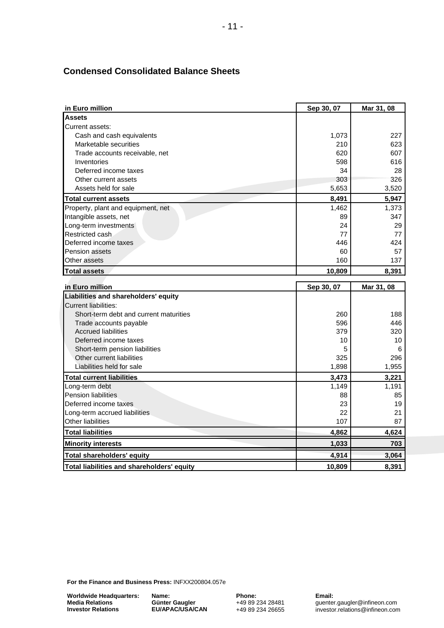## **Condensed Consolidated Balance Sheets**

| in Euro million                                    | Sep 30, 07 | Mar 31, 08 |
|----------------------------------------------------|------------|------------|
| <b>Assets</b>                                      |            |            |
| Current assets:                                    |            |            |
| Cash and cash equivalents                          | 1,073      | 227        |
| Marketable securities                              | 210        | 623        |
| Trade accounts receivable, net                     | 620        | 607        |
| Inventories                                        | 598        | 616        |
| Deferred income taxes                              | 34         | 28         |
| Other current assets                               | 303        | 326        |
| Assets held for sale                               | 5,653      | 3,520      |
| <b>Total current assets</b>                        | 8,491      | 5,947      |
| Property, plant and equipment, net                 | 1,462      | 1,373      |
| Intangible assets, net                             | 89         | 347        |
| Long-term investments                              | 24         | 29         |
| Restricted cash                                    | 77         | 77         |
| Deferred income taxes                              | 446        | 424        |
| <b>Pension assets</b>                              | 60         | 57         |
| Other assets                                       | 160        | 137        |
| <b>Total assets</b>                                | 10,809     | 8,391      |
| in Euro million                                    |            |            |
| Liabilities and shareholders' equity               | Sep 30, 07 | Mar 31, 08 |
| <b>Current liabilities:</b>                        |            |            |
| Short-term debt and current maturities             | 260        | 188        |
| Trade accounts payable                             | 596        | 446        |
| <b>Accrued liabilities</b>                         | 379        | 320        |
| Deferred income taxes                              | 10         | 10         |
| Short-term pension liabilities                     | 5          | 6          |
| Other current liabilities                          | 325        | 296        |
| Liabilities held for sale                          | 1,898      | 1,955      |
|                                                    |            |            |
| <b>Total current liabilities</b>                   | 3,473      | 3,221      |
| Long-term debt<br><b>Pension liabilities</b>       | 1,149      | 1,191      |
|                                                    | 88         | 85         |
| Deferred income taxes                              | 23<br>22   | 19         |
| Long-term accrued liabilities<br>Other liabilities | 107        | 21<br>87   |
|                                                    |            |            |
| <b>Total liabilities</b>                           | 4,862      | 4,624      |
| <b>Minority interests</b>                          | 1,033      | 703        |
| <b>Total shareholders' equity</b>                  | 4,914      | 3,064      |
| Total liabilities and shareholders' equity         | 10,809     | 8,391      |

**For the Finance and Business Press:** INFXX200804.057e

**Worldwide Headquarters: Media Relations Investor Relations**

**Name: Günter Gaugler EU/APAC/USA/CAN**

**Phone:** +49 89 234 28481 +49 89 234 26655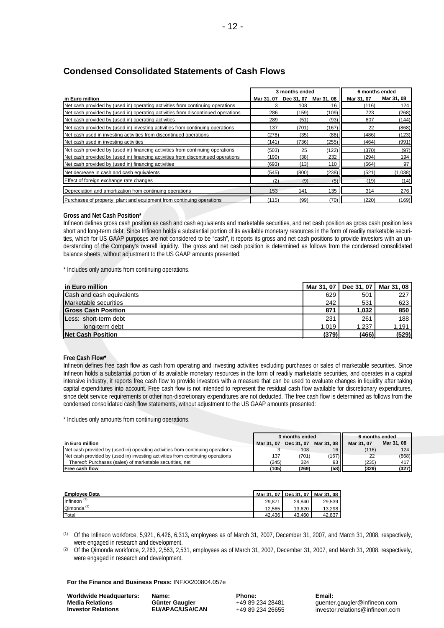Net cash provided by (used in) investing activities from continuing operations 137 (701) (167) 22 (868) Net cash used in investing activities from discontinued operations (278) (278) (35) (88) (88) (486) (123) Net cash used in investing activities (141) (141) (736) (255) (464) (991) Net cash provided by (used in) financing activities from continuing operations (503) 25 (122) (370) (97) Net cash provided by (used in) financing activities from discontinued operations (190) (38) 232 (294) 194 Net cash provided by (used in) financing activities (693) (13) 110 (664) 97 Net decrease in cash and cash equivalents (521) (1,038) (600) (238) (521) (1,038) Effect of foreign exchange rate changes (2) (9) (5) (19) (14) (14) Depreciation and amortization from continuing operations 153 141 135 314 276 Purchases of property, plant and equipment from continuing operations (115) (99) (70) (220) (169)

|                                                                                  | 3 months ended |            |            | 6 months ended |            |
|----------------------------------------------------------------------------------|----------------|------------|------------|----------------|------------|
| in Euro million                                                                  | Mar 31, 07     | Dec 31, 07 | Mar 31, 08 | Mar 31, 07     | Mar 31, 08 |
| Net cash provided by (used in) operating activities from continuing operations   |                | 108        | 16         | (116)          | 124        |
| Net cash provided by (used in) operating activities from discontinued operations | 286            | (159)      | (109)      | 723            | (268)      |
| Net cash provided by (used in) operating activities                              | 289            | (51)       | (93)       | 607            | (144)      |

#### **Condensed Consolidated Statements of Cash Flows**

# **Gross and Net Cash Position\***

Infineon defines gross cash position as cash and cash equivalents and marketable securities, and net cash position as gross cash position less short and long-term debt. Since Infineon holds a substantial portion of its available monetary resources in the form of readily marketable securities, which for US GAAP purposes are not considered to be "cash", it reports its gross and net cash positions to provide investors with an understanding of the Company's overall liquidity. The gross and net cash position is determined as follows from the condensed consolidated balance sheets, without adjustment to the US GAAP amounts presented:

\* Includes only amounts from continuing operations.

| in Euro million               |       | Mar 31, 07   Dec 31, 07   Mar 31, 08 |       |
|-------------------------------|-------|--------------------------------------|-------|
| Cash and cash equivalents     | 629   | 501                                  | 227   |
| Marketable securities         | 242   | 531                                  | 623   |
| <b>IGross Cash Position</b>   | 871   | 1,032                                | 850   |
| <b>ILess: short-term debt</b> | 231   | 261                                  | 188   |
| long-term debt                | 1,019 | 1,237                                | 1,191 |
| Net Cash Position             | (379) | (466)                                | (529) |

#### **Free Cash Flow\***

Infineon defines free cash flow as cash from operating and investing activities excluding purchases or sales of marketable securities. Since Infineon holds a substantial portion of its available monetary resources in the form of readily marketable securities, and operates in a capital intensive industry, it reports free cash flow to provide investors with a measure that can be used to evaluate changes in liquidity after taking capital expenditures into account. Free cash flow is not intended to represent the residual cash flow available for discretionary expenditures, since debt service requirements or other non-discretionary expenditures are not deducted. The free cash flow is determined as follows from the condensed consolidated cash flow statements, without adjustment to the US GAAP amounts presented:

\* Includes only amounts from continuing operations.

|                                                                                | 3 months ended |            |            | 6 months ended |                  |
|--------------------------------------------------------------------------------|----------------|------------|------------|----------------|------------------|
| in Euro million                                                                | Mar 31, 07     | Dec 31, 07 | Mar 31, 08 | Mar 31, 07     | Mar 31, 08       |
| Net cash provided by (used in) operating activities from continuing operations |                | 108        | 16         | (116)          | 124 <sub>1</sub> |
| Net cash provided by (used in) investing activities from continuing operations | 137            | (701)      | (167)      | 22             | (868)            |
| Thereof: Purchases (sales) of marketable securities, net                       | (245)          | 324        | 93         | (235)          | 417              |
| <b>IFree cash flow</b>                                                         | (105)          | (269)      | (58)       | (329)          | (327)            |

| <b>Employee Data</b> | Mar 31, 07 | Dec 31, 07 | Mar 31, 08 |
|----------------------|------------|------------|------------|
| Infineon             | 29.871     | 29.840     | 29.539     |
| Qimonda              | 12.565     | 13.620     | 13.298     |
| Total                | 42.436     | 43.460     | 42.837     |

(1) Of the Infineon workforce, 5,921, 6,426, 6,313, employees as of March 31, 2007, December 31, 2007, and March 31, 2008, respectively, were engaged in research and development.

(2) Of the Qimonda workforce, 2,263, 2,563, 2,531, employees as of March 31, 2007, December 31, 2007, and March 31, 2008, respectively, were engaged in research and development.

#### **For the Finance and Business Press:** INFXX200804.057e

**Worldwide Headquarters: Media Relations Investor Relations**

**Name: Günter Gaugler EU/APAC/USA/CAN** **Phone:** +49 89 234 28481 +49 89 234 26655 **Email:** guenter.gaugler@infineon.com [investor.relations@infineon.com](mailto:investor.relations@infineon.com)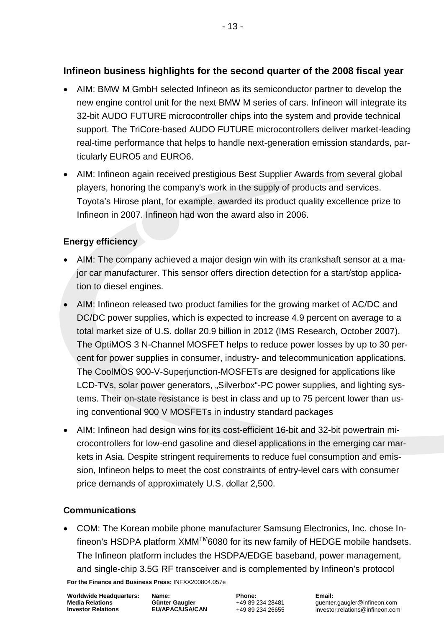# **Infineon business highlights for the second quarter of the 2008 fiscal year**

- AIM: BMW M GmbH selected Infineon as its semiconductor partner to develop the new engine control unit for the next BMW M series of cars. Infineon will integrate its 32-bit AUDO FUTURE microcontroller chips into the system and provide technical support. The TriCore-based AUDO FUTURE microcontrollers deliver market-leading real-time performance that helps to handle next-generation emission standards, particularly EURO5 and EURO6.
- AIM: Infineon again received prestigious Best Supplier Awards from several global players, honoring the company's work in the supply of products and services. Toyota's Hirose plant, for example, awarded its product quality excellence prize to Infineon in 2007. Infineon had won the award also in 2006.

## **Energy efficiency**

- AIM: The company achieved a major design win with its crankshaft sensor at a major car manufacturer. This sensor offers direction detection for a start/stop application to diesel engines.
- AIM: Infineon released two product families for the growing market of AC/DC and DC/DC power supplies, which is expected to increase 4.9 percent on average to a total market size of U.S. dollar 20.9 billion in 2012 (IMS Research, October 2007). The OptiMOS 3 N-Channel MOSFET helps to reduce power losses by up to 30 percent for power supplies in consumer, industry- and telecommunication applications. The CoolMOS 900-V-Superjunction-MOSFETs are designed for applications like LCD-TVs, solar power generators, "Silverbox"-PC power supplies, and lighting systems. Their on-state resistance is best in class and up to 75 percent lower than using conventional 900 V MOSFETs in industry standard packages
- AIM: Infineon had design wins for its cost-efficient 16-bit and 32-bit powertrain microcontrollers for low-end gasoline and diesel applications in the emerging car markets in Asia. Despite stringent requirements to reduce fuel consumption and emission, Infineon helps to meet the cost constraints of entry-level cars with consumer price demands of approximately U.S. dollar 2,500.

## **Communications**

• COM: The Korean mobile phone manufacturer Samsung Electronics, Inc. chose Infineon's HSDPA platform XMM™6080 for its new family of HEDGE mobile handsets. The Infineon platform includes the HSDPA/EDGE baseband, power management, and single-chip 3.5G RF transceiver and is complemented by Infineon's protocol

**For the Finance and Business Press:** INFXX200804.057e

**Worldwide Headquarters: Media Relations Investor Relations**

**Name: Günter Gaugler EU/APAC/USA/CAN** **Phone:** +49 89 234 28481 +49 89 234 26655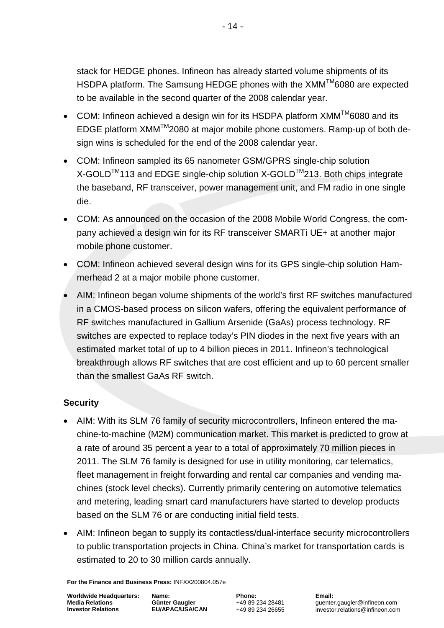stack for HEDGE phones. Infineon has already started volume shipments of its HSDPA platform. The Samsung HEDGE phones with the XMM™6080 are expected to be available in the second quarter of the 2008 calendar year.

- COM: Infineon achieved a design win for its HSDPA platform  $XMM^{TM}$ 6080 and its EDGE platform XMMTM2080 at major mobile phone customers. Ramp-up of both design wins is scheduled for the end of the 2008 calendar year.
- COM: Infineon sampled its 65 nanometer GSM/GPRS single-chip solution X-GOLD<sup>™</sup>113 and EDGE single-chip solution X-GOLD<sup>™</sup>213. Both chips integrate the baseband, RF transceiver, power management unit, and FM radio in one single die.
- COM: As announced on the occasion of the 2008 Mobile World Congress, the company achieved a design win for its RF transceiver SMARTi UE+ at another major mobile phone customer.
- COM: Infineon achieved several design wins for its GPS single-chip solution Hammerhead 2 at a major mobile phone customer.
- AIM: Infineon began volume shipments of the world's first RF switches manufactured in a CMOS-based process on silicon wafers, offering the equivalent performance of RF switches manufactured in Gallium Arsenide (GaAs) process technology. RF switches are expected to replace today's PIN diodes in the next five years with an estimated market total of up to 4 billion pieces in 2011. Infineon's technological breakthrough allows RF switches that are cost efficient and up to 60 percent smaller than the smallest GaAs RF switch.

## **Security**

- AIM: With its SLM 76 family of security microcontrollers, Infineon entered the machine-to-machine (M2M) communication market. This market is predicted to grow at a rate of around 35 percent a year to a total of approximately 70 million pieces in 2011. The SLM 76 family is designed for use in utility monitoring, car telematics, fleet management in freight forwarding and rental car companies and vending machines (stock level checks). Currently primarily centering on automotive telematics and metering, leading smart card manufacturers have started to develop products based on the SLM 76 or are conducting initial field tests.
- AIM: Infineon began to supply its contactless/dual-interface security microcontrollers to public transportation projects in China. China's market for transportation cards is estimated to 20 to 30 million cards annually.

**For the Finance and Business Press:** INFXX200804.057e

**Worldwide Headquarters: Media Relations Investor Relations**

**Name: Günter Gaugler EU/APAC/USA/CAN** **Phone:** +49 89 234 28481 +49 89 234 26655